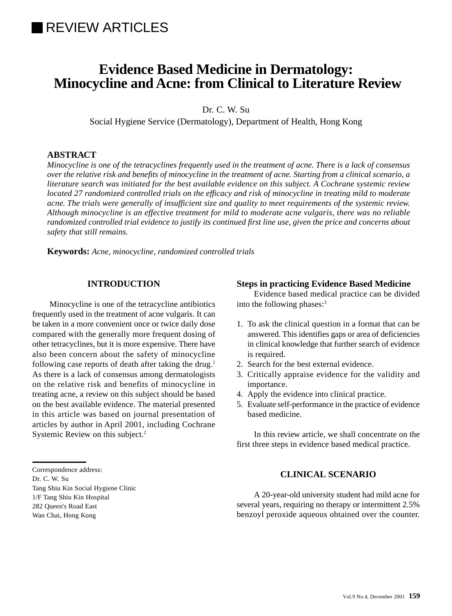# **REVIEW ARTICLES**

# **Evidence Based Medicine in Dermatology: Minocycline and Acne: from Clinical to Literature Review**

Dr. C. W. Su

Social Hygiene Service (Dermatology), Department of Health, Hong Kong

# **ABSTRACT**

*Minocycline is one of the tetracyclines frequently used in the treatment of acne. There is a lack of consensus over the relative risk and benefits of minocycline in the treatment of acne. Starting from a clinical scenario, a literature search was initiated for the best available evidence on this subject. A Cochrane systemic review located 27 randomized controlled trials on the efficacy and risk of minocycline in treating mild to moderate acne. The trials were generally of insufficient size and quality to meet requirements of the systemic review. Although minocycline is an effective treatment for mild to moderate acne vulgaris, there was no reliable randomized controlled trial evidence to justify its continued first line use, given the price and concerns about safety that still remains.*

**Keywords:** *Acne, minocycline, randomized controlled trials*

## **INTRODUCTION**

Minocycline is one of the tetracycline antibiotics frequently used in the treatment of acne vulgaris. It can be taken in a more convenient once or twice daily dose compared with the generally more frequent dosing of other tetracyclines, but it is more expensive. There have also been concern about the safety of minocycline following case reports of death after taking the drug.<sup>1</sup> As there is a lack of consensus among dermatologists on the relative risk and benefits of minocycline in treating acne, a review on this subject should be based on the best available evidence. The material presented in this article was based on journal presentation of articles by author in April 2001, including Cochrane Systemic Review on this subject.<sup>2</sup>

## **Steps in practicing Evidence Based Medicine**

Evidence based medical practice can be divided into the following phases:3

- 1. To ask the clinical question in a format that can be answered. This identifies gaps or area of deficiencies in clinical knowledge that further search of evidence is required.
- 2. Search for the best external evidence.
- 3. Critically appraise evidence for the validity and importance.
- 4. Apply the evidence into clinical practice.
- 5. Evaluate self-performance in the practice of evidence based medicine.

In this review article, we shall concentrate on the first three steps in evidence based medical practice.

# **CLINICAL SCENARIO**

A 20-year-old university student had mild acne for several years, requiring no therapy or intermittent 2.5% benzoyl peroxide aqueous obtained over the counter.

#### Correspondence address:

Dr. C. W. Su

Tang Shiu Kin Social Hygiene Clinic

- 1/F Tang Shiu Kin Hospital
- 282 Queen's Road East

Wan Chai, Hong Kong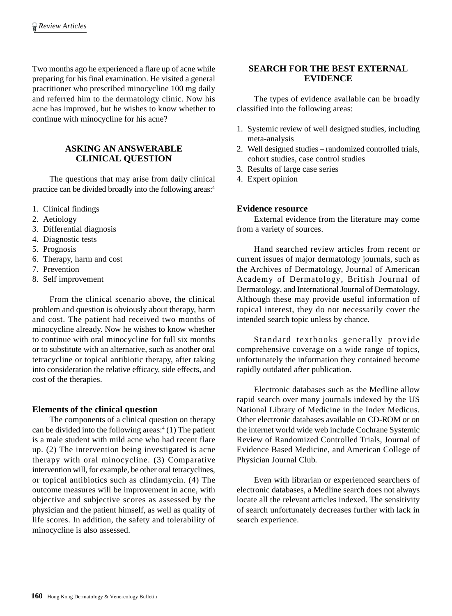Two months ago he experienced a flare up of acne while preparing for his final examination. He visited a general practitioner who prescribed minocycline 100 mg daily and referred him to the dermatology clinic. Now his acne has improved, but he wishes to know whether to continue with minocycline for his acne?

# **ASKING AN ANSWERABLE CLINICAL QUESTION**

The questions that may arise from daily clinical practice can be divided broadly into the following areas:4

- 1. Clinical findings
- 2. Aetiology
- 3. Differential diagnosis
- 4. Diagnostic tests
- 5. Prognosis
- 6. Therapy, harm and cost
- 7. Prevention
- 8. Self improvement

From the clinical scenario above, the clinical problem and question is obviously about therapy, harm and cost. The patient had received two months of minocycline already. Now he wishes to know whether to continue with oral minocycline for full six months or to substitute with an alternative, such as another oral tetracycline or topical antibiotic therapy, after taking into consideration the relative efficacy, side effects, and cost of the therapies.

## **Elements of the clinical question**

The components of a clinical question on therapy can be divided into the following areas: $(1)$  The patient is a male student with mild acne who had recent flare up. (2) The intervention being investigated is acne therapy with oral minocycline. (3) Comparative intervention will, for example, be other oral tetracyclines, or topical antibiotics such as clindamycin. (4) The outcome measures will be improvement in acne, with objective and subjective scores as assessed by the physician and the patient himself, as well as quality of life scores. In addition, the safety and tolerability of minocycline is also assessed.

## **SEARCH FOR THE BEST EXTERNAL EVIDENCE**

The types of evidence available can be broadly classified into the following areas:

- 1. Systemic review of well designed studies, including meta-analysis
- 2. Well designed studies randomized controlled trials, cohort studies, case control studies
- 3. Results of large case series
- 4. Expert opinion

## **Evidence resource**

External evidence from the literature may come from a variety of sources.

Hand searched review articles from recent or current issues of major dermatology journals, such as the Archives of Dermatology, Journal of American Academy of Dermatology, British Journal of Dermatology, and International Journal of Dermatology. Although these may provide useful information of topical interest, they do not necessarily cover the intended search topic unless by chance.

Standard textbooks generally provide comprehensive coverage on a wide range of topics, unfortunately the information they contained become rapidly outdated after publication.

Electronic databases such as the Medline allow rapid search over many journals indexed by the US National Library of Medicine in the Index Medicus. Other electronic databases available on CD-ROM or on the internet world wide web include Cochrane Systemic Review of Randomized Controlled Trials, Journal of Evidence Based Medicine, and American College of Physician Journal Club.

Even with librarian or experienced searchers of electronic databases, a Medline search does not always locate all the relevant articles indexed. The sensitivity of search unfortunately decreases further with lack in search experience.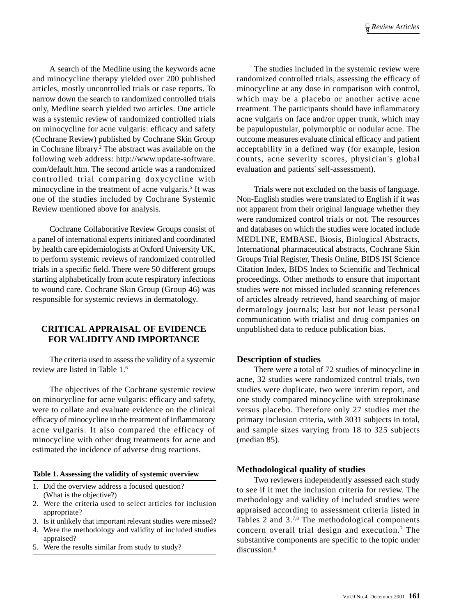A search of the Medline using the keywords acne and minocycline therapy yielded over 200 published articles, mostly uncontrolled trials or case reports. To narrow down the search to randomized controlled trials only, Medline search yielded two articles. One article was a systemic review of randomized controlled trials on minocycline for acne vulgaris: efficacy and safety (Cochrane Review) published by Cochrane Skin Group in Cochrane library.<sup>2</sup> The abstract was available on the following web address: http://www.update-software. com/default.htm. The second article was a randomized controlled trial comparing doxycycline with minocycline in the treatment of acne vulgaris.<sup>5</sup> It was one of the studies included by Cochrane Systemic Review mentioned above for analysis.

Cochrane Collaborative Review Groups consist of a panel of international experts initiated and coordinated by health care epidemiologists at Oxford University UK, to perform systemic reviews of randomized controlled trials in a specific field. There were 50 different groups starting alphabetically from acute respiratory infections to wound care. Cochrane Skin Group (Group 46) was responsible for systemic reviews in dermatology.

## **CRITICAL APPRAISAL OF EVIDENCE FOR VALIDITY AND IMPORTANCE**

The criteria used to assess the validity of a systemic review are listed in Table 1.6

The objectives of the Cochrane systemic review on minocycline for acne vulgaris: efficacy and safety, were to collate and evaluate evidence on the clinical efficacy of minocycline in the treatment of inflammatory acne vulgaris. It also compared the efficacy of minocycline with other drug treatments for acne and estimated the incidence of adverse drug reactions.

#### **Table 1. Assessing the validity of systemic overview**

- 1. Did the overview address a focused question? (What is the objective?)
- 2. Were the criteria used to select articles for inclusion appropriate?
- 3. Is it unlikely that important relevant studies were missed?
- 4. Were the methodology and validity of included studies appraised?
- 5. Were the results similar from study to study?

The studies included in the systemic review were randomized controlled trials, assessing the efficacy of minocycline at any dose in comparison with control, which may be a placebo or another active acne treatment. The participants should have inflammatory acne vulgaris on face and/or upper trunk, which may be papulopustular, polymorphic or nodular acne. The outcome measures evaluate clinical efficacy and patient acceptability in a defined way (for example, lesion counts, acne severity scores, physician's global evaluation and patients' self-assessment).

Trials were not excluded on the basis of language. Non-English studies were translated to English if it was not apparent from their original language whether they were randomized control trials or not. The resources and databases on which the studies were located include MEDLINE, EMBASE, Biosis, Biological Abstracts, International pharmaceutical abstracts, Cochrane Skin Groups Trial Register, Thesis Online, BIDS ISI Science Citation Index, BIDS Index to Scientific and Technical proceedings. Other methods to ensure that important studies were not missed included scanning references of articles already retrieved, hand searching of major dermatology journals; last but not least personal communication with trialist and drug companies on unpublished data to reduce publication bias.

## **Description of studies**

There were a total of 72 studies of minocycline in acne, 32 studies were randomized control trials, two studies were duplicate, two were interim report, and one study compared minocycline with streptokinase versus placebo. Therefore only 27 studies met the primary inclusion criteria, with 3031 subjects in total, and sample sizes varying from 18 to 325 subjects (median 85).

## **Methodological quality of studies**

Two reviewers independently assessed each study to see if it met the inclusion criteria for review. The methodology and validity of included studies were appraised according to assessment criteria listed in Tables 2 and 3.7,8 The methodological components concern overall trial design and execution.7 The substantive components are specific to the topic under discussion.<sup>8</sup>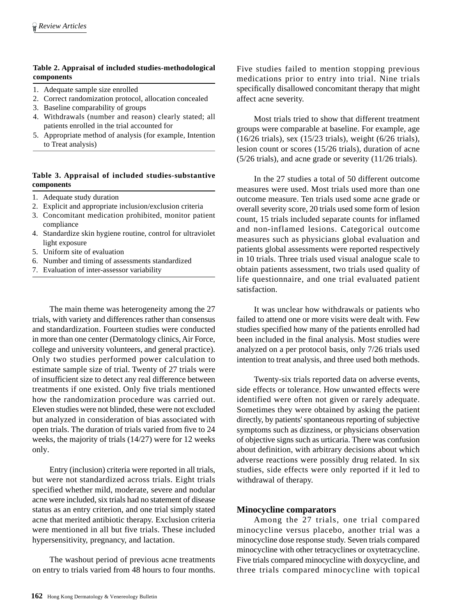## **Table 2. Appraisal of included studies-methodological components**

- 1. Adequate sample size enrolled
- 2. Correct randomization protocol, allocation concealed
- 3. Baseline comparability of groups
- 4. Withdrawals (number and reason) clearly stated; all patients enrolled in the trial accounted for
- 5. Appropriate method of analysis (for example, Intention to Treat analysis)

## **Table 3. Appraisal of included studies-substantive components**

- 1. Adequate study duration
- 2. Explicit and appropriate inclusion/exclusion criteria
- 3. Concomitant medication prohibited, monitor patient compliance
- 4. Standardize skin hygiene routine, control for ultraviolet light exposure
- 5. Uniform site of evaluation
- 6. Number and timing of assessments standardized
- 7. Evaluation of inter-assessor variability

The main theme was heterogeneity among the 27 trials, with variety and differences rather than consensus and standardization. Fourteen studies were conducted in more than one center (Dermatology clinics, Air Force, college and university volunteers, and general practice). Only two studies performed power calculation to estimate sample size of trial. Twenty of 27 trials were of insufficient size to detect any real difference between treatments if one existed. Only five trials mentioned how the randomization procedure was carried out. Eleven studies were not blinded, these were not excluded but analyzed in consideration of bias associated with open trials. The duration of trials varied from five to 24 weeks, the majority of trials (14/27) were for 12 weeks only.

Entry (inclusion) criteria were reported in all trials, but were not standardized across trials. Eight trials specified whether mild, moderate, severe and nodular acne were included, six trials had no statement of disease status as an entry criterion, and one trial simply stated acne that merited antibiotic therapy. Exclusion criteria were mentioned in all but five trials. These included hypersensitivity, pregnancy, and lactation.

The washout period of previous acne treatments on entry to trials varied from 48 hours to four months. Five studies failed to mention stopping previous medications prior to entry into trial. Nine trials specifically disallowed concomitant therapy that might affect acne severity.

Most trials tried to show that different treatment groups were comparable at baseline. For example, age (16/26 trials), sex (15/23 trials), weight (6/26 trials), lesion count or scores (15/26 trials), duration of acne (5/26 trials), and acne grade or severity (11/26 trials).

In the 27 studies a total of 50 different outcome measures were used. Most trials used more than one outcome measure. Ten trials used some acne grade or overall severity score, 20 trials used some form of lesion count, 15 trials included separate counts for inflamed and non-inflamed lesions. Categorical outcome measures such as physicians global evaluation and patients global assessments were reported respectively in 10 trials. Three trials used visual analogue scale to obtain patients assessment, two trials used quality of life questionnaire, and one trial evaluated patient satisfaction.

It was unclear how withdrawals or patients who failed to attend one or more visits were dealt with. Few studies specified how many of the patients enrolled had been included in the final analysis. Most studies were analyzed on a per protocol basis, only 7/26 trials used intention to treat analysis, and three used both methods.

Twenty-six trials reported data on adverse events, side effects or tolerance. How unwanted effects were identified were often not given or rarely adequate. Sometimes they were obtained by asking the patient directly, by patients' spontaneous reporting of subjective symptoms such as dizziness, or physicians observation of objective signs such as urticaria. There was confusion about definition, with arbitrary decisions about which adverse reactions were possibly drug related. In six studies, side effects were only reported if it led to withdrawal of therapy.

## **Minocycline comparators**

Among the 27 trials, one trial compared minocycline versus placebo, another trial was a minocycline dose response study. Seven trials compared minocycline with other tetracyclines or oxytetracycline. Five trials compared minocycline with doxycycline, and three trials compared minocycline with topical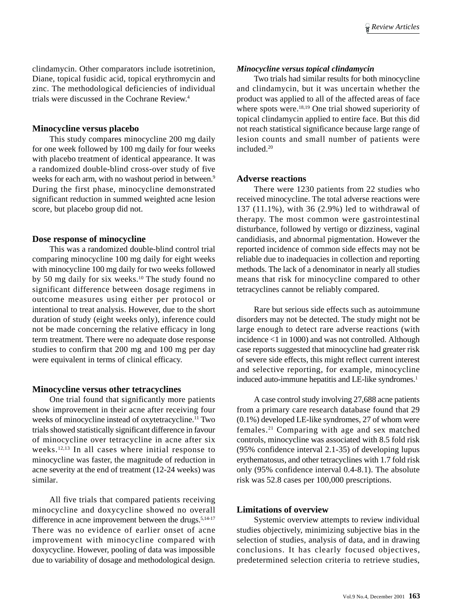clindamycin. Other comparators include isotretinion, Diane, topical fusidic acid, topical erythromycin and zinc. The methodological deficiencies of individual trials were discussed in the Cochrane Review.4

#### **Minocycline versus placebo**

This study compares minocycline 200 mg daily for one week followed by 100 mg daily for four weeks with placebo treatment of identical appearance. It was a randomized double-blind cross-over study of five weeks for each arm, with no washout period in between.<sup>9</sup> During the first phase, minocycline demonstrated significant reduction in summed weighted acne lesion score, but placebo group did not.

## **Dose response of minocycline**

This was a randomized double-blind control trial comparing minocycline 100 mg daily for eight weeks with minocycline 100 mg daily for two weeks followed by 50 mg daily for six weeks.10 The study found no significant difference between dosage regimens in outcome measures using either per protocol or intentional to treat analysis. However, due to the short duration of study (eight weeks only), inference could not be made concerning the relative efficacy in long term treatment. There were no adequate dose response studies to confirm that 200 mg and 100 mg per day were equivalent in terms of clinical efficacy.

## **Minocycline versus other tetracyclines**

One trial found that significantly more patients show improvement in their acne after receiving four weeks of minocycline instead of oxytetracycline.<sup>11</sup> Two trials showed statistically significant difference in favour of minocycline over tetracycline in acne after six weeks.<sup>12,13</sup> In all cases where initial response to minocycline was faster, the magnitude of reduction in acne severity at the end of treatment (12-24 weeks) was similar.

All five trials that compared patients receiving minocycline and doxycycline showed no overall difference in acne improvement between the drugs.<sup>5,14-17</sup> There was no evidence of earlier onset of acne improvement with minocycline compared with doxycycline. However, pooling of data was impossible due to variability of dosage and methodological design.

#### *Minocycline versus topical clindamycin*

Two trials had similar results for both minocycline and clindamycin, but it was uncertain whether the product was applied to all of the affected areas of face where spots were.<sup>18,19</sup> One trial showed superiority of topical clindamycin applied to entire face. But this did not reach statistical significance because large range of lesion counts and small number of patients were included.<sup>20</sup>

#### **Adverse reactions**

There were 1230 patients from 22 studies who received minocycline. The total adverse reactions were 137 (11.1%), with 36 (2.9%) led to withdrawal of therapy. The most common were gastrointestinal disturbance, followed by vertigo or dizziness, vaginal candidiasis, and abnormal pigmentation. However the reported incidence of common side effects may not be reliable due to inadequacies in collection and reporting methods. The lack of a denominator in nearly all studies means that risk for minocycline compared to other tetracyclines cannot be reliably compared.

Rare but serious side effects such as autoimmune disorders may not be detected. The study might not be large enough to detect rare adverse reactions (with incidence <1 in 1000) and was not controlled. Although case reports suggested that minocycline had greater risk of severe side effects, this might reflect current interest and selective reporting, for example, minocycline induced auto-immune hepatitis and LE-like syndromes.<sup>1</sup>

A case control study involving 27,688 acne patients from a primary care research database found that 29 (0.1%) developed LE-like syndromes, 27 of whom were females.21 Comparing with age and sex matched controls, minocycline was associated with 8.5 fold risk (95% confidence interval 2.1-35) of developing lupus erythematosus, and other tetracyclines with 1.7 fold risk only (95% confidence interval 0.4-8.1). The absolute risk was 52.8 cases per 100,000 prescriptions.

## **Limitations of overview**

Systemic overview attempts to review individual studies objectively, minimizing subjective bias in the selection of studies, analysis of data, and in drawing conclusions. It has clearly focused objectives, predetermined selection criteria to retrieve studies,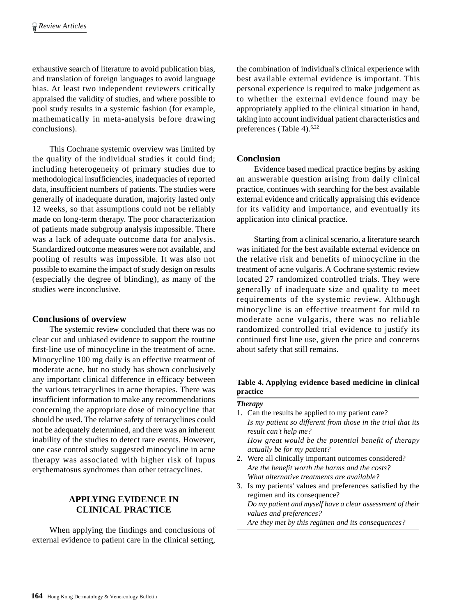exhaustive search of literature to avoid publication bias, and translation of foreign languages to avoid language bias. At least two independent reviewers critically appraised the validity of studies, and where possible to pool study results in a systemic fashion (for example, mathematically in meta-analysis before drawing conclusions).

This Cochrane systemic overview was limited by the quality of the individual studies it could find; including heterogeneity of primary studies due to methodological insufficiencies, inadequacies of reported data, insufficient numbers of patients. The studies were generally of inadequate duration, majority lasted only 12 weeks, so that assumptions could not be reliably made on long-term therapy. The poor characterization of patients made subgroup analysis impossible. There was a lack of adequate outcome data for analysis. Standardized outcome measures were not available, and pooling of results was impossible. It was also not possible to examine the impact of study design on results (especially the degree of blinding), as many of the studies were inconclusive.

## **Conclusions of overview**

The systemic review concluded that there was no clear cut and unbiased evidence to support the routine first-line use of minocycline in the treatment of acne. Minocycline 100 mg daily is an effective treatment of moderate acne, but no study has shown conclusively any important clinical difference in efficacy between the various tetracyclines in acne therapies. There was insufficient information to make any recommendations concerning the appropriate dose of minocycline that should be used. The relative safety of tetracyclines could not be adequately determined, and there was an inherent inability of the studies to detect rare events. However, one case control study suggested minocycline in acne therapy was associated with higher risk of lupus erythematosus syndromes than other tetracyclines.

## **APPLYING EVIDENCE IN CLINICAL PRACTICE**

When applying the findings and conclusions of external evidence to patient care in the clinical setting,

the combination of individual's clinical experience with best available external evidence is important. This personal experience is required to make judgement as to whether the external evidence found may be appropriately applied to the clinical situation in hand, taking into account individual patient characteristics and preferences (Table 4).<sup>6,22</sup>

## **Conclusion**

Evidence based medical practice begins by asking an answerable question arising from daily clinical practice, continues with searching for the best available external evidence and critically appraising this evidence for its validity and importance, and eventually its application into clinical practice.

Starting from a clinical scenario, a literature search was initiated for the best available external evidence on the relative risk and benefits of minocycline in the treatment of acne vulgaris. A Cochrane systemic review located 27 randomized controlled trials. They were generally of inadequate size and quality to meet requirements of the systemic review. Although minocycline is an effective treatment for mild to moderate acne vulgaris, there was no reliable randomized controlled trial evidence to justify its continued first line use, given the price and concerns about safety that still remains.

## **Table 4. Applying evidence based medicine in clinical practice**

| <b>Therapy</b>                                              |
|-------------------------------------------------------------|
| 1. Can the results be applied to my patient care?           |
| Is my patient so different from those in the trial that its |
| result can't help me?                                       |
| How great would be the potential benefit of therapy         |
| actually be for my patient?                                 |
| 2. Were all clinically important outcomes considered?       |
| Are the benefit worth the harms and the costs?              |
| What alternative treatments are available?                  |
| 3. Is my patients' values and preferences satisfied by the  |
| regimen and its consequence?                                |
| Do my patient and myself have a clear assessment of their   |
|                                                             |

*values and preferences? Are they met by this regimen and its consequences?*